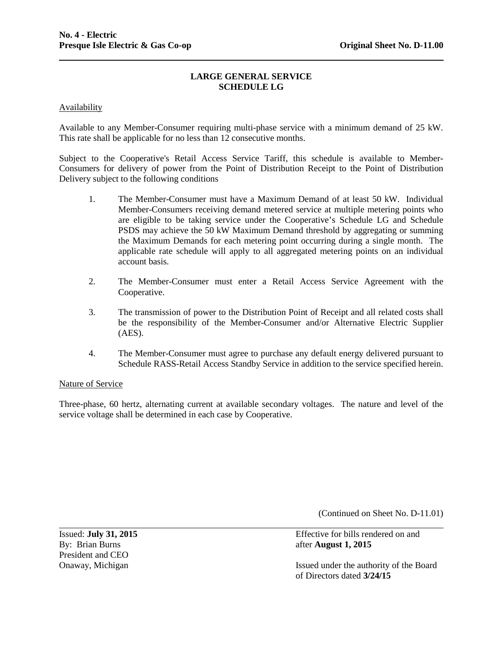## **LARGE GENERAL SERVICE SCHEDULE LG**

### Availability

Available to any Member-Consumer requiring multi-phase service with a minimum demand of 25 kW. This rate shall be applicable for no less than 12 consecutive months.

Subject to the Cooperative's Retail Access Service Tariff, this schedule is available to Member-Consumers for delivery of power from the Point of Distribution Receipt to the Point of Distribution Delivery subject to the following conditions

- 1. The Member-Consumer must have a Maximum Demand of at least 50 kW. Individual Member-Consumers receiving demand metered service at multiple metering points who are eligible to be taking service under the Cooperative's Schedule LG and Schedule PSDS may achieve the 50 kW Maximum Demand threshold by aggregating or summing the Maximum Demands for each metering point occurring during a single month. The applicable rate schedule will apply to all aggregated metering points on an individual account basis.
- 2. The Member-Consumer must enter a Retail Access Service Agreement with the Cooperative.
- 3. The transmission of power to the Distribution Point of Receipt and all related costs shall be the responsibility of the Member-Consumer and/or Alternative Electric Supplier (AES).
- 4. The Member-Consumer must agree to purchase any default energy delivered pursuant to Schedule RASS-Retail Access Standby Service in addition to the service specified herein.

### Nature of Service

Three-phase, 60 hertz, alternating current at available secondary voltages. The nature and level of the service voltage shall be determined in each case by Cooperative.

(Continued on Sheet No. D-11.01)

By: Brian Burns **after August 1, 2015** President and CEO

Issued: **July 31, 2015** Effective for bills rendered on and

Onaway, Michigan Issued under the authority of the Board of Directors dated **3/24/15**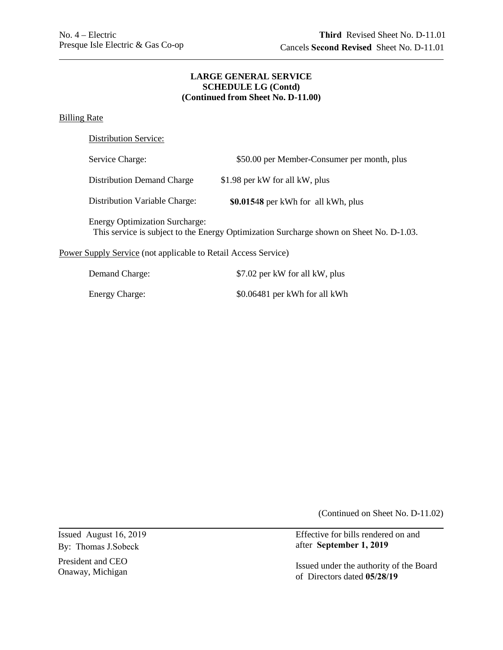# **(Continued from Sheet No. D-11.00) LARGE GENERAL SERVICE SCHEDULE LG (Contd)**

# Billing Rate

| Distribution Service: |
|-----------------------|
|-----------------------|

| Service Charge:                                                                                                                  | \$50.00 per Member-Consumer per month, plus |  |
|----------------------------------------------------------------------------------------------------------------------------------|---------------------------------------------|--|
| Distribution Demand Charge                                                                                                       | \$1.98 per kW for all kW, plus              |  |
| Distribution Variable Charge:                                                                                                    | \$0.01548 per kWh for all kWh, plus         |  |
| <b>Energy Optimization Surcharge:</b><br>This service is subject to the Energy Optimization Surcharge shown on Sheet No. D-1.03. |                                             |  |
| <b>Power Supply Service</b> (not applicable to Retail Access Service)                                                            |                                             |  |

| Demand Charge:        | \$7.02 per kW for all kW, plus |
|-----------------------|--------------------------------|
| <b>Energy Charge:</b> | \$0.06481 per kWh for all kWh  |

(Continued on Sheet No. D-11.02)

By: Thomas J.Sobeck

President and CEO

Issued August 16, 2019 Fire the Effective for bills rendered on and after September 1, 2019

President and CEO Issued under the authority of the Board<br>Onaway, Michigan of Directors dated  $\frac{05}{28/19}$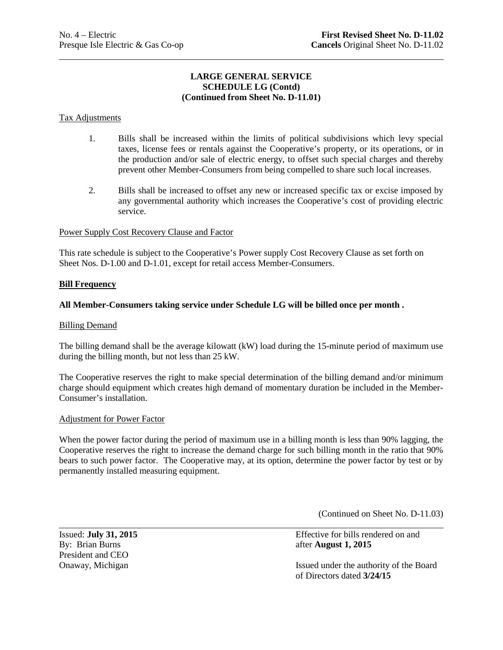# **LARGE GENERAL SERVICE SCHEDULE LG (Contd) (Continued from Sheet No. D-11.01)**

## Tax Adjustments

- 1. Bills shall be increased within the limits of political subdivisions which levy special taxes, license fees or rentals against the Cooperative's property, or its operations, or in the production and/or sale of electric energy, to offset such special charges and thereby prevent other Member-Consumers from being compelled to share such local increases.
- 2. Bills shall be increased to offset any new or increased specific tax or excise imposed by any governmental authority which increases the Cooperative's cost of providing electric service.

### Power Supply Cost Recovery Clause and Factor

This rate schedule is subject to the Cooperative's Power supply Cost Recovery Clause as set forth on Sheet Nos. D-1.00 and D-1.01, except for retail access Member-Consumers.

### **Bill Frequency**

### **All Member-Consumers taking service under Schedule LG will be billed once per month .**

#### Billing Demand

The billing demand shall be the average kilowatt (kW) load during the 15-minute period of maximum use during the billing month, but not less than 25 kW.

The Cooperative reserves the right to make special determination of the billing demand and/or minimum charge should equipment which creates high demand of momentary duration be included in the Member-Consumer's installation.

#### Adjustment for Power Factor

When the power factor during the period of maximum use in a billing month is less than 90% lagging, the Cooperative reserves the right to increase the demand charge for such billing month in the ratio that 90% bears to such power factor. The Cooperative may, at its option, determine the power factor by test or by permanently installed measuring equipment.

(Continued on Sheet No. D-11.03)

By: Brian Burns **and Burns** after **August 1, 2015** President and CEO

Issued: **July 31, 2015** Effective for bills rendered on and

Onaway, Michigan Issued under the authority of the Board of Directors dated **3/24/15**